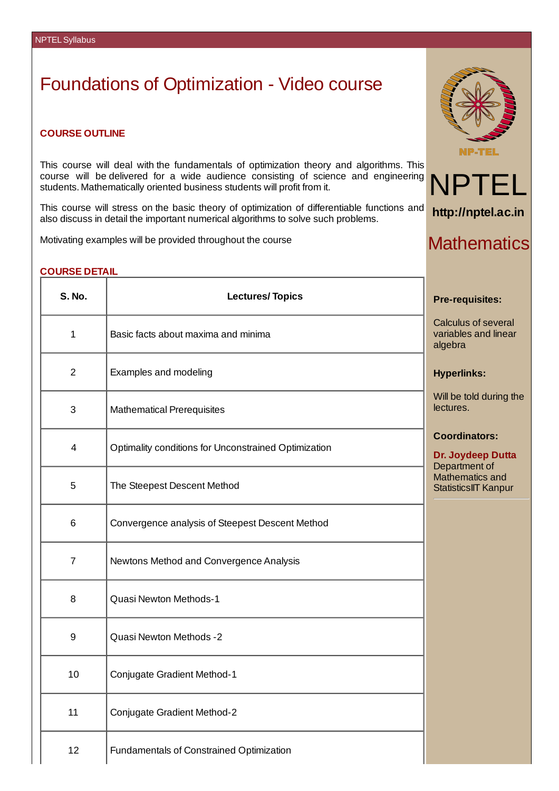# Foundations of Optimization - Video course

#### **COURSE OUTLINE**

This course will deal with the fundamentals of optimization theory and algorithms. This course will be delivered for a wide audience consisting of science and engineering students. Mathematically oriented business students will profit from it.

This course will stress on the basic theory of optimization of differentiable functions and also discuss in detail the important numerical algorithms to solve such problems.

Motivating examples will be provided throughout the course

## **COURSE DETAIL**

| <b>S. No.</b>  | <b>Lectures/Topics</b>                               | <b>Pre-requisites:</b>                                     |
|----------------|------------------------------------------------------|------------------------------------------------------------|
| $\mathbf{1}$   | Basic facts about maxima and minima                  | Calculus of several<br>variables and linear<br>algebra     |
| $\overline{2}$ | Examples and modeling                                | <b>Hyperlinks:</b>                                         |
| 3              | <b>Mathematical Prerequisites</b>                    | Will be told during the<br>lectures.                       |
| 4              | Optimality conditions for Unconstrained Optimization | <b>Coordinators:</b><br>Dr. Joydeep Dutta<br>Department of |
| 5              | The Steepest Descent Method                          | <b>Mathematics and</b><br><b>StatisticsIIT Kanpur</b>      |
| 6              | Convergence analysis of Steepest Descent Method      |                                                            |
| $\overline{7}$ | Newtons Method and Convergence Analysis              |                                                            |
| 8              | Quasi Newton Methods-1                               |                                                            |
| 9              | Quasi Newton Methods -2                              |                                                            |
| 10             | Conjugate Gradient Method-1                          |                                                            |
| 11             | Conjugate Gradient Method-2                          |                                                            |
| 12             | Fundamentals of Constrained Optimization             |                                                            |





**http://nptel.ac.in**

# **Mathematics**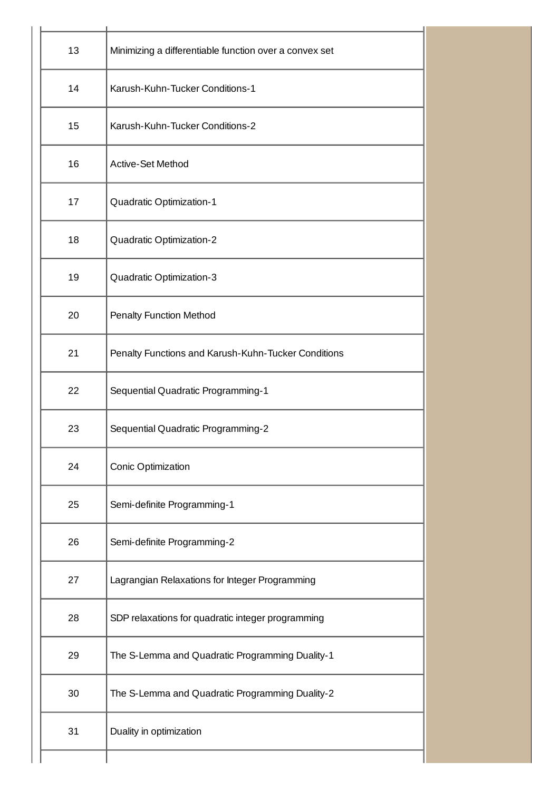| 13                                       | Minimizing a differentiable function over a convex set |  |
|------------------------------------------|--------------------------------------------------------|--|
| 14                                       | Karush-Kuhn-Tucker Conditions-1                        |  |
| 15                                       | Karush-Kuhn-Tucker Conditions-2                        |  |
| 16                                       | Active-Set Method                                      |  |
| 17                                       | Quadratic Optimization-1                               |  |
| 18<br>Quadratic Optimization-2           |                                                        |  |
| Quadratic Optimization-3<br>19           |                                                        |  |
| 20                                       | Penalty Function Method                                |  |
| 21                                       | Penalty Functions and Karush-Kuhn-Tucker Conditions    |  |
| 22<br>Sequential Quadratic Programming-1 |                                                        |  |
| 23<br>Sequential Quadratic Programming-2 |                                                        |  |
| 24                                       | Conic Optimization                                     |  |
| 25                                       | Semi-definite Programming-1                            |  |
| 26                                       | Semi-definite Programming-2                            |  |
| 27                                       | Lagrangian Relaxations for Integer Programming         |  |
| 28                                       | SDP relaxations for quadratic integer programming      |  |
| 29                                       | The S-Lemma and Quadratic Programming Duality-1        |  |
| 30                                       | The S-Lemma and Quadratic Programming Duality-2        |  |
| 31                                       | Duality in optimization                                |  |
|                                          |                                                        |  |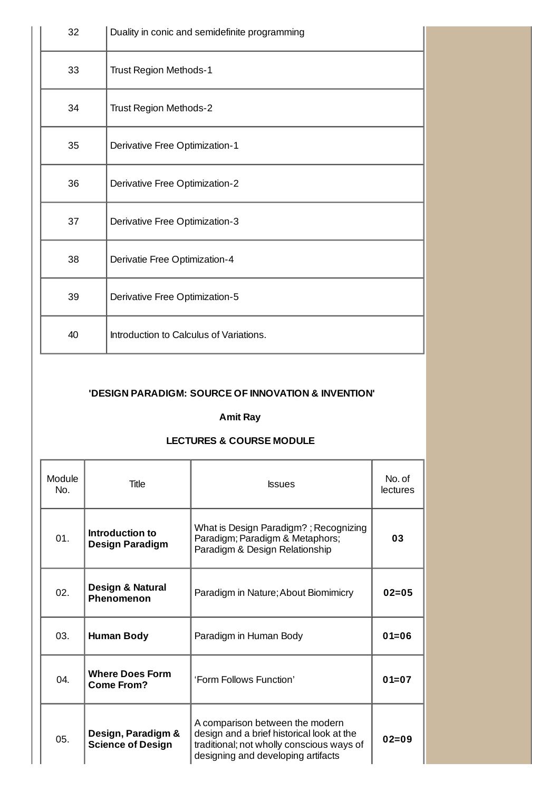| 32                                   | Duality in conic and semidefinite programming |  |
|--------------------------------------|-----------------------------------------------|--|
| 33                                   | Trust Region Methods-1                        |  |
| 34                                   | Trust Region Methods-2                        |  |
| 35                                   | Derivative Free Optimization-1                |  |
| 36                                   | Derivative Free Optimization-2                |  |
| 37<br>Derivative Free Optimization-3 |                                               |  |
| 38                                   | Derivatie Free Optimization-4                 |  |
| 39                                   | Derivative Free Optimization-5                |  |
| 40                                   | Introduction to Calculus of Variations.       |  |

### **'DESIGN PARADIGM: SOURCE OF INNOVATION & INVENTION'**

#### **Amit Ray**

### **LECTURES & COURSE MODULE**

|  | Module<br>No. | Title                                          | <b>Issues</b>                                                                                                                                                   | No. of<br><b>lectures</b> |
|--|---------------|------------------------------------------------|-----------------------------------------------------------------------------------------------------------------------------------------------------------------|---------------------------|
|  | 01.           | Introduction to<br><b>Design Paradigm</b>      | What is Design Paradigm?; Recognizing<br>Paradigm; Paradigm & Metaphors;<br>Paradigm & Design Relationship                                                      | 03                        |
|  | 02.           | <b>Design &amp; Natural</b><br>Phenomenon      | Paradigm in Nature; About Biomimicry                                                                                                                            | $02 = 05$                 |
|  | 03.           | <b>Human Body</b>                              | Paradigm in Human Body                                                                                                                                          | $01 = 06$                 |
|  | 04.           | <b>Where Does Form</b><br>Come From?           | 'Form Follows Function'                                                                                                                                         | $01 = 07$                 |
|  | 05.           | Design, Paradigm &<br><b>Science of Design</b> | A comparison between the modern<br>design and a brief historical look at the<br>traditional; not wholly conscious ways of<br>designing and developing artifacts | $02 = 09$                 |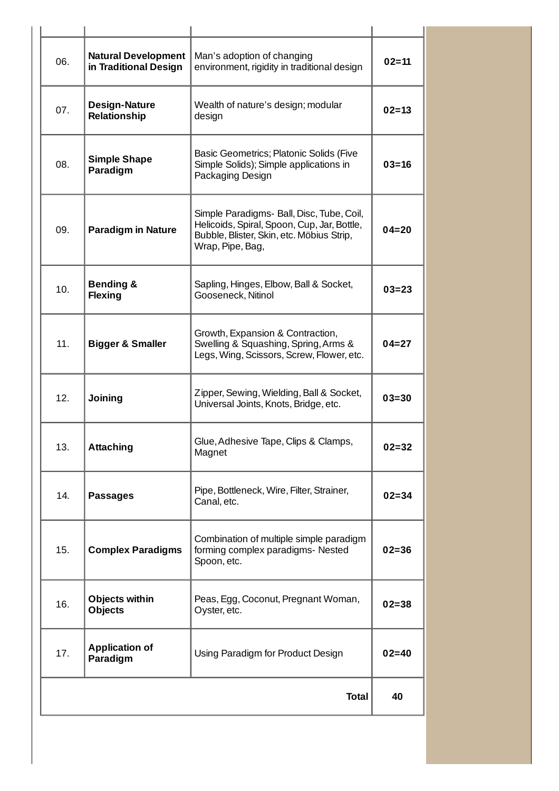| 06. | <b>Natural Development</b><br>in Traditional Design | Man's adoption of changing<br>environment, rigidity in traditional design                                                                                 | $02 = 11$ |
|-----|-----------------------------------------------------|-----------------------------------------------------------------------------------------------------------------------------------------------------------|-----------|
| 07. | <b>Design-Nature</b><br>Relationship                | Wealth of nature's design; modular<br>design                                                                                                              | $02 = 13$ |
| 08. | <b>Simple Shape</b><br>Paradigm                     | Basic Geometrics; Platonic Solids (Five<br>Simple Solids); Simple applications in<br>Packaging Design                                                     | $03 = 16$ |
| 09. | <b>Paradigm in Nature</b>                           | Simple Paradigms- Ball, Disc, Tube, Coil,<br>Helicoids, Spiral, Spoon, Cup, Jar, Bottle,<br>Bubble, Blister, Skin, etc. Möbius Strip,<br>Wrap, Pipe, Bag, | $04 = 20$ |
| 10. | <b>Bending &amp;</b><br><b>Flexing</b>              | Sapling, Hinges, Elbow, Ball & Socket,<br>Gooseneck, Nitinol                                                                                              | $03 = 23$ |
| 11. | <b>Bigger &amp; Smaller</b>                         | Growth, Expansion & Contraction,<br>Swelling & Squashing, Spring, Arms &<br>Legs, Wing, Scissors, Screw, Flower, etc.                                     | $04 = 27$ |
| 12. | <b>Joining</b>                                      | Zipper, Sewing, Wielding, Ball & Socket,<br>Universal Joints, Knots, Bridge, etc.                                                                         | $03 = 30$ |
| 13. | <b>Attaching</b>                                    | Glue, Adhesive Tape, Clips & Clamps,<br>Magnet                                                                                                            | $02 = 32$ |
| 14. | <b>Passages</b>                                     | Pipe, Bottleneck, Wire, Filter, Strainer,<br>Canal, etc.                                                                                                  | $02 = 34$ |
| 15. | <b>Complex Paradigms</b>                            | Combination of multiple simple paradigm<br>forming complex paradigms- Nested<br>Spoon, etc.                                                               | $02 = 36$ |
| 16. | <b>Objects within</b><br><b>Objects</b>             | Peas, Egg, Coconut, Pregnant Woman,<br>Oyster, etc.                                                                                                       | $02 = 38$ |
| 17. | <b>Application of</b><br>Paradigm                   | Using Paradigm for Product Design                                                                                                                         | $02 = 40$ |
|     |                                                     | <b>Total</b>                                                                                                                                              | 40        |